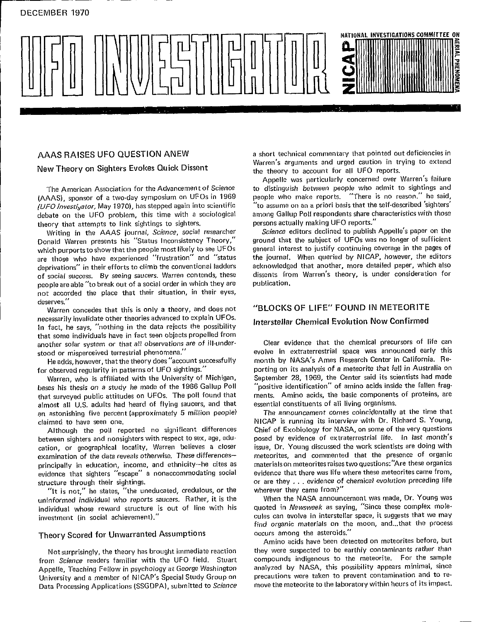

(AAAS), sponsor of a two-day symposium on UFOs in 1969 people who make reports. "There is no reason." he said,<br>(UFO Investivator, May 1970), has stepped again into scientific "to assume on an a priori basis that the self-d (UFO Investi<sub>st</sub>alor, May 1970), has stepped again into scientific "To assume on an a priori basis that the self-described 'sighters' (
interacteristics with those denation on the UFO problem. this time with a sociological debate on the UFO problem, this time with a sociological among Gallup Poli respondents share characteristics with theory that attempts to link sightings to sighters.<br>Theory that attempts to link sightings to sighters.

Donald Warren presents his "Status Inconsistency Theory," ground that the subject of UFOs was no longer of sufficient which purports to show that the people most likely to see UFOs general interest to justify continuing coverage in the pages of<br>are those who have experienced "frustration" and "status the journal. When queried by NICAP, ho are those who have experienced "frustration" and "status the journal. When queried by NICAP, however, the editors<br>deprivations" in their efforts to climb the conventional ladders acknowledged that another, more detailed pa deprivations" in their efforts to climb the conventional ladders acknowledged that another, more detailed paper, which also<br>of social strecess. By seeing saucers, Warren contends, these dissents from Warren's theory, is un of social success. By seeing saucers. Warren contends, these dissents from equal theory, is under the consideration. people are able "to break out of a social order in which they are not accorded the place that their situation, in their eyes, deserves."

Warren concedes that this is only a theory, and does not "BLOCKS OF LIFE" FOUND IN METEORITE<br>necessarily invalidate other theories advanced to explain UFOs. In fact, he says, "'nothing in the data rejects the possibility that some individuals have in fact seen objects propelled from

He adds, however, that the theory does "account successfully for observed regularity in patterns of UFO sightings."

bases his thesis on a study he made of the 1966 Gallup Poll "positive identification" of amino acids inside the fallen frag-<br>that surveyed public attitudes on UFOs. The poll found that ments. Amino acids, the basic compone that surveyed public attitudes on UFOs, The poll found that ments. Amino acids, the basic components almost all U.S. adults had heard of flying saucers, and that essential constituents of all living organisms. almost all U.S. adults had heard of flying saucers, and that essential constituents of all living organisms.<br>an astonishing five percent (approximately 5 million people) The announcement comes coincidentally at the time th an astonishing five percent (approximately 5 million people) claimed to have seen one.

between sighters and nonsighters with respect to sex, age, edu- posed by evidence of extraterrestrial life. In last month's<br>cation, or geographical locality, Warren believes a closer issue, Dr. Young discussed the work sci cation, or geographical locality, Warren believes a closer issue, Dr. Young discussed the work-scientists are doing with<br>examination of the data-reveals-otherwise. These-differences— meteorites, and commented that the pres examination of the data reveals otherwise. These differences-<br>principally in education, income, and ethnicity--he cites as evidence that sighters "escape" a nonaccommodating social structure through their sightings.

"It is not," he states, "the uneducated, credulous, or the sumberever they came from?"<br>informed individual who reports saucers. Rather, it is the sumbling the NASA announcement was made, Dr. Young was uninformed individual who reports saucers. Rather, it is the When the NASA announcement was made, Dr. Young was<br>individual whose reward structure is out of line with his quoted in Newsweek as saying, "Since these complex m individual whose reward structure is out of line with his quoted in Newsweek as saying, "Since these complex mole-

from Science readers familiar with the UFO field. Stuart compounds indigenous to the meteorite. For the sample<br>Appelle, Teaching Fellow in psychology at George Washington analyzed by NASA, this possibility appears minimal, University and a member of NICAP's Special Study Group on precautions were taken to prevent contamination and to re-<br>Data Processing Applications (SSGDPA) submitted to *Science* move the meteorite to the laboratory within Data Processing Applications (SSGDPA), submitted to Science

AAAS RAISES UFO QUESTION ANEW a short technical commentary that pointed out deficiencies in Warren's arguments and urged caution in trying to extend New Theory on Sighters Evokes Quick Dissent the theory to account for all UFO reports.

Appelle was particularly concerned over Warren's failure The Am**e**r**i**can Association for the Advancement of Science to distinguish between people **w**ho admit to sightings and

theory that attempts to link sightings to sighters, escal persons actually making UFO reports.<br>Writing in the AAAS journal, *Science*, social researcher Science editors declined to publish Appelle's paper on the Writing in the AAAS journal, *Science*, social researcher *Science* editors declined to publish Appelle's paper on the<br>nald Warren presents his "Status Inconsistency Theory," ground that the subject of UFOs was no longer o

## Interstellar Chemical Evolution Now Confirmed

another solar system or that all observations are of ill-under-<br>stood or misperceived terrestrial phenomena." The evolve in extraterrestrial space was announced early this month by NASA's Ames Research Center in California. Reporting on its analysis of a meteorite that fell in Australia on September 28, 1969, the Center said its scientists had made Warren, who is affiliated with the University of Michigan, September 28, 1969, the Center said its scientists had made<br>ses his thesis on a study he made of the 1966 Gallup Poll "positive identification" of amino acids insi

NICAP is running its interview with Dr. Richard S. Young,<br>Chief of Exobiology for NASA, on some of the very questions Although the poll reported no significant differences Chief of Exobiology for NASA, on some of the very questions<br>tween sighters and nonsighters with respect to sex, age, edu- posed by evidence of extraterrestrial life. In materials on meteorites raises two questions: "Are these organics<br>evidence that there was life where these meteorites came from, or are they . . . evidence of chemical evolution preceding life wherever they came from?"

investment (in social achievement). The culture culture can evolve in interstellar space, it suggests that we may find organic materials on the moon, and**.**.**.**that the pr**o**cess occurs among the asteroids."

Theory Scored for Unwarranted Assumptions occurs among the asteroids."<br>Amino acids have been detected on meteorites before, but<br>Not surprisingly, the theory has brought immediate reaction they were suspected to be earthly Not surprisingly, the theory has brought immediate reaction they were suspected to be earthly contaminants rather than<br>Im Science readers familiar with the UFO field. Stuart compounds indigenous to the meteorite. For the s precautions were taken to prevent contamination and to re-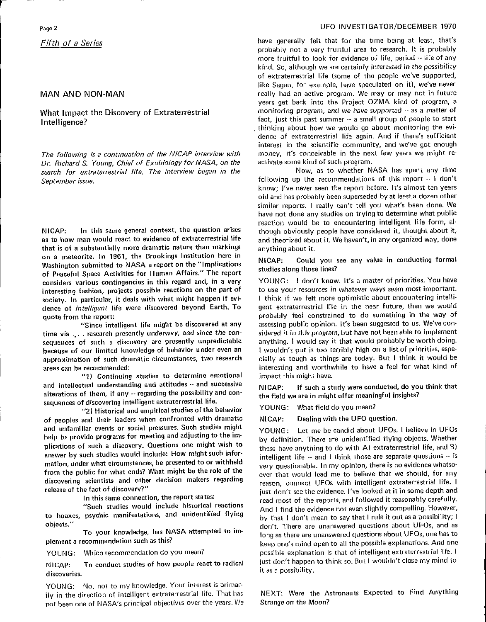Dr, Richard S. Young, Chief of Exobiology for NASA, on the activate some kind of such program.<br>search for extraterrestrial life. The interview began in the Now, as to whether NASA has spent any time search for extraterrestrial life. The interview began in the September issue. **September issue**, **following** up the recommendations of this report  $\cdot \cdot$  **I** don't

as to how man would react to evidence of extraterrestrial life that is of a substantially more dramatic nature than markings  $\qquad$  anything about it. on a meteorite**.** In 1961, the Brookings Institution here in UIL A INCRET Could you see any value in conducting formal<br>Washington submitted to NASA a report on the "Implications" studies along those lines? of Peaceful S**p**ace Activities for Human Affairs." The report studiesalongthoso lines? considers various contingen**c**ies in this regard and, in a very YOUNG: I don't know. It's a matter of priorities, You have interesting fashion, projects possible reactions on the part of to use your resources in whatever ways seem most important.<br>society, In particular, it deals with what might happen if evi- Ithink if we felt more optimistic society. In particular, it deals with what might happen if evi- Ithink if we felt more optimistic about encountering intelli-<br>dence of *intelligent* life were discovered beyond Earth. To gent extraterrestrial life in the n dence of intelligent life were discovered beyond Earth. To

time via ... research prese**n**tly underway, a**nd** since the con- sidered it in t**h**is program, but have not been able to imp**l**ement sequences of such a discovery are presently unpredictable anything. I would say it that would probably be worth doing.<br>because of our limited knowledge of behavior under even an | wouldn't put it too terribly high on a lis because of our limited knowledge of behavior under even an I wouldn't put it too terribly high on a list of priorities, espe-<br>approximation of such dramatic circumstances, two research ally as tough as things are today. Bu approximation of such dramatic circumstances, two research areas can be recommended:

"1**)** Co**nti**n**u**ing s**tu**dies **to d**etermi**n**e e**mot**i**onal** impact t**hi**s mi**g**ht have. and intellectual understandin**g** an**d** attit**u**des -- and su**c**cessive NICAP: If such a study were **c**onducted, **d**o you think that sequen**c**es of disco**v**erin**g** intelligent ext**r**aterrestrial li**f**e.

"2) Hist**o**rical an**d** emp**i**rical stu**di**es ofthe behavior YOUNG: What field do you mean? of peoples and their leaders when confronted with dramatic MICAP:<br>and unfamiliar events or social pressures. Such studies might the United and unfamiliar events or **s**ocial **pr**essures. Suc**h** stud**i**es mig**h**t YOUNG**:** Let me be candid about UFOs. I believe **i**n UFOs nelp to provide programs for meeting and adjusting to the im-<br>plications of such a discovery. Questions one might wish to these have anothing to do with A) extraterrectrial life and B) plications of such a discovery. Questions one might wish to these have anything to do with A) extraterrestrial life, and B) answer by such studies would include: How might such infor-<br>answer by such studies would include: answer by such studies would include: How might such infor-<br>mation, under what circumstances, be presented to or withheld<br>were questionable. In my opinion, there is no widence whatsomation, under what circumstances, be presented to or withheld very questionable. In my opinion, there is no evidence whatso-<br>**From the public for what ends?** What might be the role of the sale that would lead me to believe from **t**he p**u**blic for w**h**at e**n**ds? W**h**at mi**g**ht **b**e the role of **t**he ever that wou**l**d lead me to believe that we should, for any

"S**u**ch studies would **<sup>i</sup>**nclude histor**ic**al reactions And <sup>I</sup> find the evidence not even <sup>s</sup>**l**igh**t**ly compelling. However,

NICAP: To conduct studies of how people react to radical just don't happen<br>t as a possibility. discoveries.

YOUNG: No, not to my knowledge. Your interest is primari**l**y in the direction of intelligent extraterrestrial life. That has NEXT: Were the Astronauts Expected to F**i**nd A**n**ythin**g** not been one of NASA's principal objectives over the years. We

### Page2 U**F**O **I**NV**E**STIGATOR/D**E**C**E**MBER 1970

Fifth of a Series **have generally felt** that for the time being at least, that's probably not a very fruitful area to research. It is probably more fruitful to look for evidence of life, period ~ life of any kind, So, although we are certainly interested in the possibility of extraterrestrial life {some of the people we've supported, like Sagan, for example, have speculated on it), we've never MAN AND NON-MAN **really had an active program.** We may or may not in future years get back into the Project OZMA kind of program, a What Impact the Discovery of Extraterrestrial monitoring program, and we have supported -- as a matter of Venter of the United States of the United States of the United States of the United States of the United States of t Intelligence? Fact, intelligence? Fact, intelligence? The people of people to start and people to start and people to start and people to start and people to start and people to start and people of people start and people dence of extraterrestrial life again. And if there's sufficient interest in the scientific community, and we've got enough The following is a continuation of the NICAP interview with money, it's conceivable in the next few years we might re-<br>Dr. Bichard S. Young, Chief of Exobiology for NASA, on the activate some kind of such program.

kno**w**; **I**'ve never seen the report before**.** It's almost ten years old and has probably been superseded by at least a dozen other similar reports. I really can't tell you what's been done. We have not done any studies on trying to determine what publi**c** reaction would be to encountering intelligent life form, al-NICAP: In this same general context, the question arises though obviously people have considered it, thought about it, as to how man would react to evidence of extraterrestrial life and theorized about it. We haven't, in a

NICAP:

q**u**ote from the report**:** probably feel co**n**strained to do something **i**n the way of "Si**n**ce **i**nte**l**li**g**ent life mig**h**t be disco**v**ered at any assessing public opinion. It's been suggested to us. We've coninteresting and worthwhile to have a feel for what kind of

alter**a**tions of them, if any -- rega**r**ding the p**os**sibilit**y** and **c**on- the f**i**e**l**d we are in mi**g**ht **o**ff**e**r meanin**gf**ul insights?

dis**co**veri**n**g sc**ie**ntists an**d** other decision ma**k**e**r**s re**g**ard**i**ng reason, connect UFOs with intell**i**gent extraterrestrial llfe, I releast of discovery?" **interest of discovery?"** just don't see the evidence. I've looked at it in some depth and<br>In this same connection, the report states:<br>read most of the reports and followed it reasonably carefully In this same connection, the report states: read most of the reports**,** and fo**l**lowed it reasonab**l**<sup>y</sup> carefully. to hoaxes, **p**syc**h**ic manifestations, and **u**nidentified f**l**ying by that **I** don't mean to say that I rule it out as a possibility; I To your knowledge, has NASA attempted to im-<br>To your knowledge, has NASA attempted to im-**organisms** are unanswered questions about UEOs one has to To **y**ou**r** knowled**g**e, **h**as NASA attempted to **i**ra**- l**ong as there are unanswered questions about UFOs, one has to **plement a recommendation** such as this?<br>**P** Reep one's mind open to all the possible explanations. And one<br>POUNG: Which recommendation do you mean?<br>**P** possible explanation is that of intelligent extraterrestrial life. possible explanation is that of intelligent extraterrestrial life. I<br>just don't happen to think so. But I wouldn't close my mind to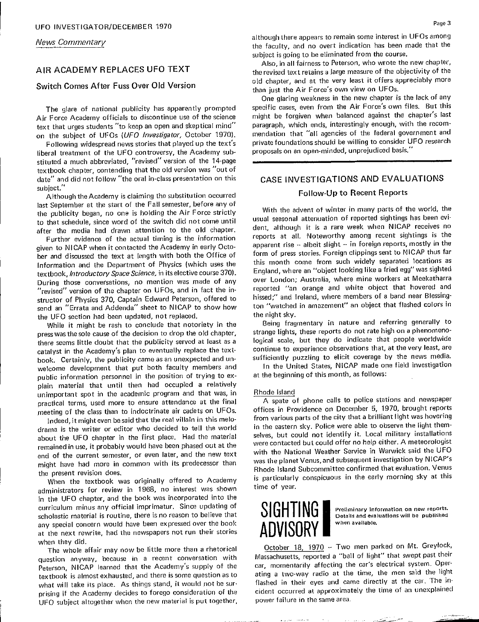**News Commentary** 

# Switch Comes After Fuss Over Old Version

Air Force Academy officials to discontinue use of the science might be forgiven when balanced against the chapter's last text that urges students "to keep an open and skeptical mind" paragraph, which ends, interestingly enough, with the recom-

Following widespread news stories that played up the text's liberal treatment of the UFO controversy, the Academy substituted a much abbreviated, "revised" version of the 14-page textbook chapter, contending that the old version was "out of date" and did not follow "the oral in-class presentation on this date" and did not follow "the oral in-class presentation on this  $\overline{CASE}$  INVESTIGATIONS AND EVALUATIONS subject."

Although the Academy is claiming the substitution occurred last September at the start of the Fall semester, before any of<br>With the advent of winter in many parts of the world, the Air Force strictly with the advent of winter in many parts of the world, the the publicity began, no one is holding the Air Force strictly and purchast, regard in the chapter of the switch did not come until usual seasonal attenuation of reported sightings has been evi-<br>to that schedule, since word of the switch did not come until Further evidence of the actual time is the information of the intervalse of the information of the information reports in the information reports in the intervalse intervalse intervalse intervalse intervalse intervalse int

given to NICAP when it contacted the Academy in early Octo-<br>bet and discussed the text at length with both the Office of form of press stories. Foreign clippings sent to NICAP thus far ber and discussed the text at length with both the Office of the this month come from such widely separated locations as<br>Information and the Department of Physics (which uses the this month come from such widely separated Information and the Department of Physics (which uses the textbook, Introductory Space Science, in its elective course 370). England, where an "object looking like a fried egg" was sighted The conversations, no mention was made of any over London; Australia, where mine workers at Meekatharra<br>"revised" version of the chapter on UFOs, and in fact the in-<br>"revised" version of the chapter on UFOs, and in fact th "revised" version of the chapter on UFOs, and in fact the instructor of Physics 370, Captain Edward Peterson, offered to hissed;" and Ireland, where members of a band near Blessingsend an "Errata and Addenda" sheet to NICAP to show how ton "watched in amazement" an object that flashed colors in the UFO section had been updated, not replaced. The notoriety in the night sky.

press was the sole cause of the decision to drop the old chapter, strange lights, these reports do not rate high on a phenomenothere seems little doubt that the publicity served at least as a logical scale, but they do indicate that people worldwide catalyst in the Academy's plan to eventually replace the text-<br>continue to experience observations that, at the very least, are book. Certainly, the publicity came as an unexpected and un-<br>welcome development that put both faculty members and In the United States, NICAP made one field investigation welcome development that put both faculty members and public information personnel in the position of trying to explain material that until then had occupied a relatively unimportant spot in the academic program and that was, in **Rhode Island** meetical terms, used more to ensure attendance at the final The spate of phone calls to police stations and newspaper<br>meeting of the class than to indoctrinate air cadets on UEOs. offices in Providence on December 5, 1970, meeting of the class than to indoctrinate air cadets on UFOs.

drama is the writer or editor who decided to tell the world in the eastern sky. Police were able to observe the light themremains in the contact that the but the material selves, but could not identify it. Local military installations end of the current semester, or even later, and the new text with the National Weather Service in Warwick said the UFO end of the current semester, or even later, and the new text with the National Weather Service in Warwick said the OPO<br>religion had more in common with its predecessor than was the planet Venus, and subsequent investigatio might have had more in common with its predecessor than

When the textbook was originally offered to Academy administrators for review in 1968, no interest was shown scholastic material is routine, there is no reason to believe that **UILIIII PRESECT TO THE SINCE UP** Details and evaluations will be published any special concern would have been expressed over the book **ANNIONINI** in the UFO chapter, and the book was incorporated into the<br>curriculum minus any official imprimatur. Since updating of SICHTING Preliminary information on new reports.<br>scholastic material is routine, there is no reason to scholastic material is routine, there is no reason to believe that at the next rewrite, had the newspapers not run their stories

The whole affair may now be little more than a rhetorical question anyway, because in a recent conversation with Massachusetts, reported a "ball of light" that swept past their<br>Peterson, NICAP learned that the Academy's supply of the car, momentarily affecting the car's electrica Peterson, NICAP learned that the Academy's supply of the textbook is almost exhausted, and there is some question as to ating a two-way radio at the time, the men said the light what will take its place. As things stand, it would not be sur-<br>
flashed in their eyes and came directly at the car. The inprising if the Academy decides to forego consideration of the cident occurred at approximately the time of an unexplained UFO subject altogether when the new material is put together,

news Commentary although there appears to remain some interest in UFOs among the faculty, and no over the faculty, and no over the faculty of the faculty of the faculty of the faculty of the faculty of the faculty of the f the faculty, and no overt indication has been made that the subject is going to be eliminated from the course,

Also, in all fairness to Peterson, who wrote the new chapter,<br>AIR ACADEMY REPLACES UFO TEXT the revised text retains a large measure of the objectivity of the old chapter, and at the very least it offers appreciably more than just the Air Force's own view on UFOs.

One glaring weakness in the new chapter is the lack of any The glare of national publicity has apparently prompted specific cases, even from the Air Force's own files. But this on the subject of UFOs (UFO *Investigator*, October 1970), mendation that "all agencies of the federal government and<br>Following widespread news stories that played up the text's private foundations should be willing to con proposals on an open-minded, unprejudiced basis.

### Follow-Up to Recent Reports

given the Income may diam, accrition to the Octo-Shapesh.<br>Further evidence of the actual timing is the information apparent rise -- albeit slight -- in foreign reports, mostly in the

While it might be rash to conclude that notoriety in the old Being fragmentary in nature and referring generally to

at the beginning of this month, as follows:

Indeed, it might even be said that the real villain in this melo-<br>Indeed, it might even be said that the real villain in this melo-<br> Men the text is textbook was originally offered to Academy is particularly conspicuous in the early morning sky at this<br>Mhen the textbook was originally offered to Academy is particularly conspicuous in the early morning s time of year.



when they did.<br>The whole affair may now be little more than a rhetorical October 18, 1970 -- Two men parked on Mt. Greylock, power failure in the same area.

كالحيي والمتحدث والمهادة والما